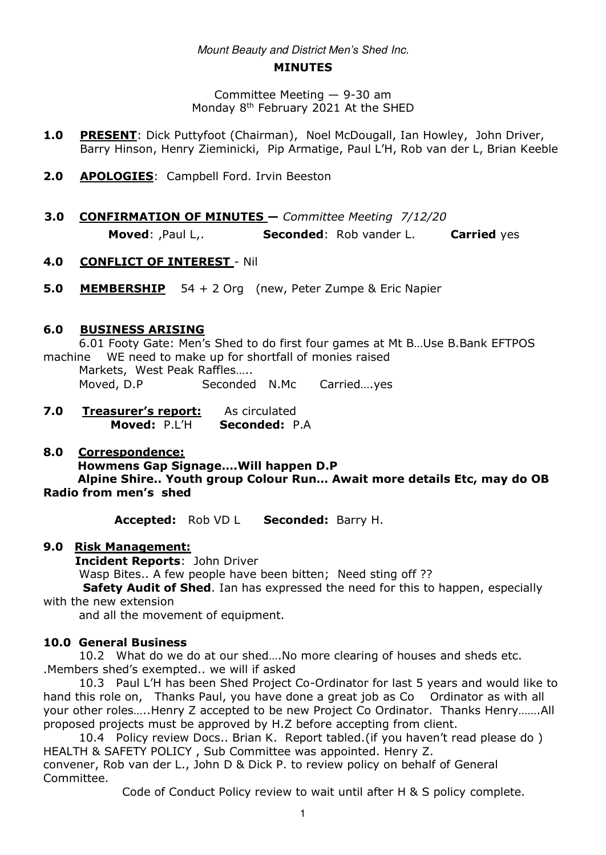# Mount Beauty and District *Men's Shed* Inc.

#### **MINUTES**

Committee Meeting — 9-30 am Monday 8th February 2021 At the SHED

- **1.0 PRESENT:** Dick Puttyfoot (Chairman), Noel McDougall, Ian Howley, John Driver, Barry Hinson, Henry Zieminicki, Pip Armatige, Paul L'H, Rob van der L, Brian Keeble
- **2.0 APOLOGIES**: Campbell Ford. Irvin Beeston
- **3.0 CONFIRMATION OF MINUTES —** *Committee Meeting 7/12/20*  **Moved**: ,Paul L,. **Seconded**: Rob vander L.**Carried** yes

### **4.0 CONFLICT OF INTEREST** - Nil

**5.0 MEMBERSHIP** 54 + 2 Org (new, Peter Zumpe & Eric Napier

## **6.0 BUSINESS ARISING**

 6.01 Footy Gate: Men's Shed to do first four games at Mt B…Use B.Bank EFTPOS machine WE need to make up for shortfall of monies raised Markets, West Peak Raffles….. Moved, D.P Seconded N.Mc Carried....yes

**7.0 Treasurer's report:** As circulated**Moved:** P.L'H **Seconded:** P.A

### **8.0 Correspondence:**

 **Howmens Gap Signage….Will happen D.P**

 **Alpine Shire.. Youth group Colour Run… Await more details Etc, may do OB Radio from men's shed**

**Accepted:** Rob VD L **Seconded:** Barry H.

### **9.0 Risk Management:**

**Incident Reports**: John Driver

Wasp Bites.. A few people have been bitten; Need sting off ??

 **Safety Audit of Shed**. Ian has expressed the need for this to happen, especially with the new extension

and all the movement of equipment.

### **10.0 General Business**

 10.2 What do we do at our shed….No more clearing of houses and sheds etc. .Members shed's exempted.. we will if asked

 10.3 Paul L'H has been Shed Project Co-Ordinator for last 5 years and would like to hand this role on, Thanks Paul, you have done a great job as Co Ordinator as with all your other roles…..Henry Z accepted to be new Project Co Ordinator. Thanks Henry…….All proposed projects must be approved by H.Z before accepting from client.

 10.4 Policy review Docs.. Brian K. Report tabled.(if you haven't read please do ) HEALTH & SAFETY POLICY , Sub Committee was appointed. Henry Z.

convener, Rob van der L., John D & Dick P. to review policy on behalf of General Committee.

Code of Conduct Policy review to wait until after H & S policy complete.